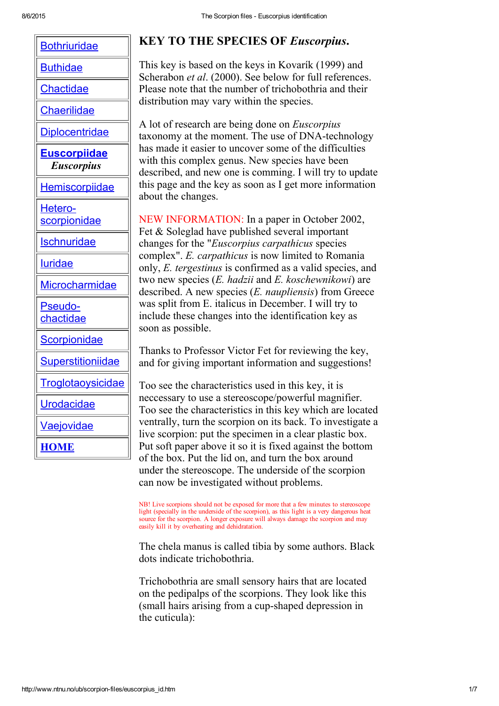| <b>Bothriuridae</b>                      |
|------------------------------------------|
| <b>Buthidae</b>                          |
| <u>Chactidae</u>                         |
| <u>Chaerilidae</u>                       |
| <b>Diplocentridae</b>                    |
| <b>Euscorpiidae</b><br><b>Euscorpius</b> |
| <b>Hemiscorpiidae</b>                    |
| <u> Hetero-</u><br><b>scorpionidae</b>   |
| <u>Ischnuridae</u>                       |
| <b>luridae</b>                           |
| <b>Microcharmidae</b>                    |
| <b>Pseudo-</b><br>chactidae              |
| <b>Scorpionidae</b>                      |
| <b>Superstitioniidae</b>                 |
| <u>Froglotaoysicidae</u>                 |
| Urodacidae                               |
| <b>aejovidae</b>                         |
| $\mathbf{N}$                             |

# KEY TO THE SPECIES OF Euscorpius.

This key is based on the keys in Kovarík (1999) and Scherabon *et al.* (2000). See below for full references. Please note that the number of trichobothria and their distribution may vary within the species.

A lot of research are being done on Euscorpius taxonomy at the moment. The use of DNA-technology has made it easier to uncover some of the difficulties with this complex genus. New species have been described, and new one is comming. I will try to update this page and the key as soon as I get more information about the changes.

NEW INFORMATION: In a paper in October 2002, Fet & Soleglad have published several important changes for the "Euscorpius carpathicus species complex". E. carpathicus is now limited to Romania only, E. tergestinus is confirmed as a valid species, and two new species (E. hadzii and E. koschewnikowi) are described. A new species  $(E.$  *naupliensis* $)$  from Greece was split from E. italicus in December. I will try to include these changes into the identification key as soon as possible.

Thanks to Professor Victor Fet for reviewing the key, and for giving important information and suggestions!

Too see the characteristics used in this key, it is neccessary to use a stereoscope/powerful magnifier. Too see the characteristics in this key which are located ventrally, turn the scorpion on its back. To investigate a live scorpion: put the specimen in a clear plastic box. Put soft paper above it so it is fixed against the bottom of the box. Put the lid on, and turn the box around under the stereoscope. The underside of the scorpion can now be investigated without problems.

NB! Live scorpions should not be exposed for more that a few minutes to stereoscope light (specially in the underside of the scorpion), as this light is a very dangerous heat source for the scorpion. A longer exposure will always damage the scorpion and may easily kill it by overheating and dehidratation.

The chela manus is called tibia by some authors. Black dots indicate trichobothria.

Trichobothria are small sensory hairs that are located on the pedipalps of the scorpions. They look like this (small hairs arising from a cup-shaped depression in the cuticula):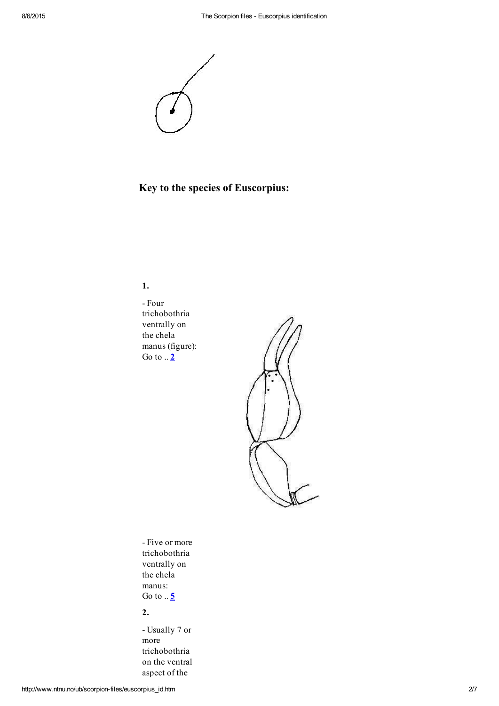

# Key to the species of Euscorpius:

1.

 Four trichobothria ventrally on the chela manus (figure): Go to  $.2$  $.2$ 



 Five or more trichobothria ventrally on the chela manus: Go to  $.5$  $.5$ 

## 2.

 Usually 7 or more trichobothria on the ventral aspect of the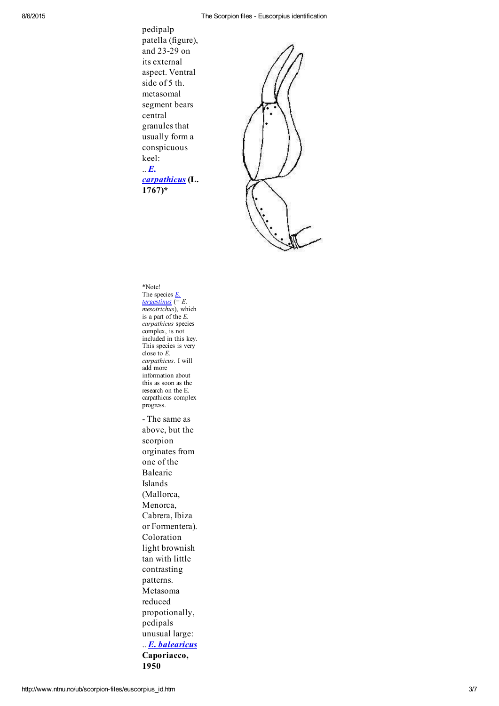#### 8/6/2015 The Scorpion files Euscorpius identification

pedipalp patella (figure), and 23-29 on its external aspect. Ventral side of 5 th. metasomal segment bears central granules that usually form a conspicuous keel:  $\mathbf{E}$ . [carpathicus](http://www.ub.ntnu.no/scorpion-files/e_carpathicus.htm) (L. 1767)\*



#### \*Note! The species  $E$ . [tergestinus](http://www.ntnu.no/ub/scorpion-files/e_tergestinus.htm)  $(= E.$

mesotrichus), which is a part of the  $E$ . carpathicus species complex, is not included in this key. This species is very close to  $\vec{E}$ . carpathicus. I will add more information about this as soon as the research on the E. carpathicus complex progress.

 The same as above, but the scorpion orginates from one of the Balearic Islands (Mallorca, Menorca, Cabrera, Ibiza or Formentera). Coloration light brownish tan with little contrasting patterns. Metasoma reduced propotionally, pedipals unusual large: .. E. [balearicus](http://www.ntnu.no/ub/scorpion-files/e_balearicus.htm) Caporiacco, 1950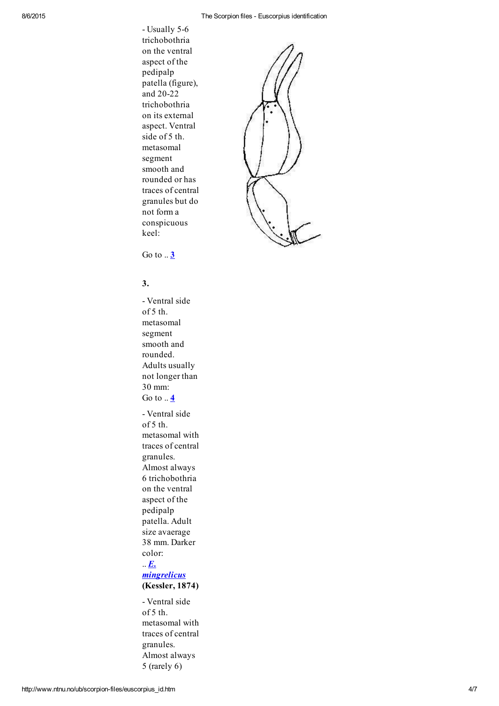- Usually 5-6 trichobothria on the ventral aspect of the pedipalp patella (figure), and 20-22 trichobothria on its external aspect. Ventral side of 5 th. metasomal segment smooth and rounded or has traces of central granules but do not form a conspicuous keel:



Go to  $.3$  $.3$ 

## 3.

 Ventral side of 5 th. metasomal segment smooth and rounded. Adults usually not longer than 30 mm: Go to  $.4$  $.4$  Ventral side of 5 th. metasomal with traces of central granules. Almost always 6 trichobothria on the ventral aspect of the pedipalp patella. Adult size avaerage 38 mm. Darker color:  $\mathbf{E}$ .

### **[mingrelicus](http://www.ntnu.no/ub/scorpion-files/e_mingrelicus.htm)** (Kessler, 1874)

 Ventral side of 5 th. metasomal with traces of central granules. Almost always 5 (rarely 6)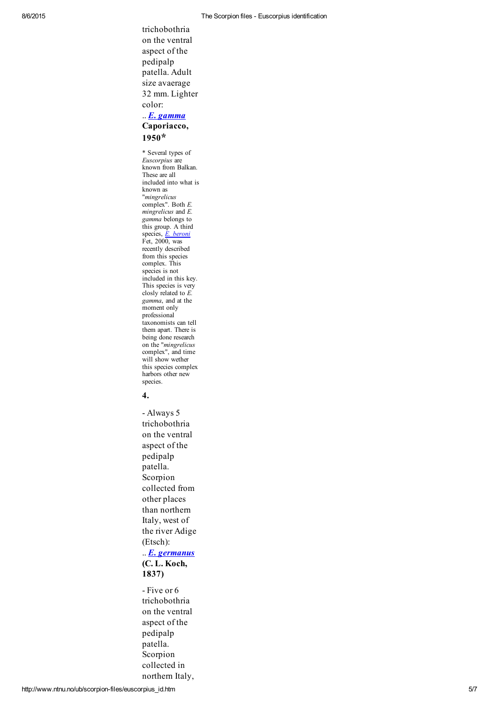trichobothria on the ventral aspect of the pedipalp patella. Adult size avaerage 32 mm. Lighter color:

#### $\ldots$  E. [gamma](http://www.ntnu.no/ub/scorpion-files/e_gamma.htm) Caporiacco, 1950\*

\* Several types of Euscorpius are known from Balkan. These are all included into what is known as "mingrelicus complex". Both E.  $m$ *ingrelicus* and  $E$ . gamma belongs to this group. A third species, E. [beroni](http://www.ntnu.no/ub/scorpion-files/e_beroni.htm) Fet, 2000, was recently described from this species complex. This species is not included in this key. This species is very closly related to  $E$ . gamma, and at the moment only professional taxonomists can tell them apart. There is being done research on the "*mingrelicus* complex", and time will show wether this species complex harbors other new species.

### 4.

 Always 5 trichobothria on the ventral aspect of the pedipalp patella. Scorpion collected from other places than northern Italy, west of the river Adige (Etsch): .. E. [germanus](http://www.ntnu.no/ub/scorpion-files/e_germanus.htm)

# (C. L. Koch, 1837)

- Five or 6 trichobothria on the ventral aspect of the pedipalp patella. Scorpion collected in northern Italy,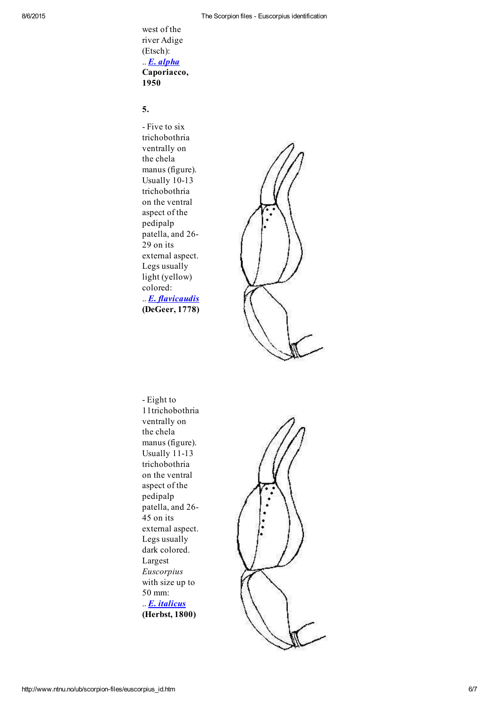west of the river Adige (Etsch): .. E. [alpha](http://www.ub.ntnu.no/scorpion-files/e_alpha.htm) Caporiacco, 1950

### 5.

- Five to six trichobothria ventrally on the chela manus (figure). Usually 10-13 trichobothria on the ventral aspect of the pedipalp patella, and 26 29 on its external aspect. Legs usually light (yellow) colored: .. **E.** [flavicaudis](http://www.ub.ntnu.no/scorpion-files/e_flavicaudis.htm) (DeGeer, 1778)



 Eight to 11trichobothria ventrally on the chela manus (figure). Usually  $11-13$ trichobothria on the ventral aspect of the pedipalp patella, and 26 45 on its external aspect. Legs usually dark colored. Largest Euscorpius with size up to 50 mm: .. **E.** [italicus](http://www.ub.ntnu.no/scorpion-files/e_italicus.htm) (Herbst, 1800)